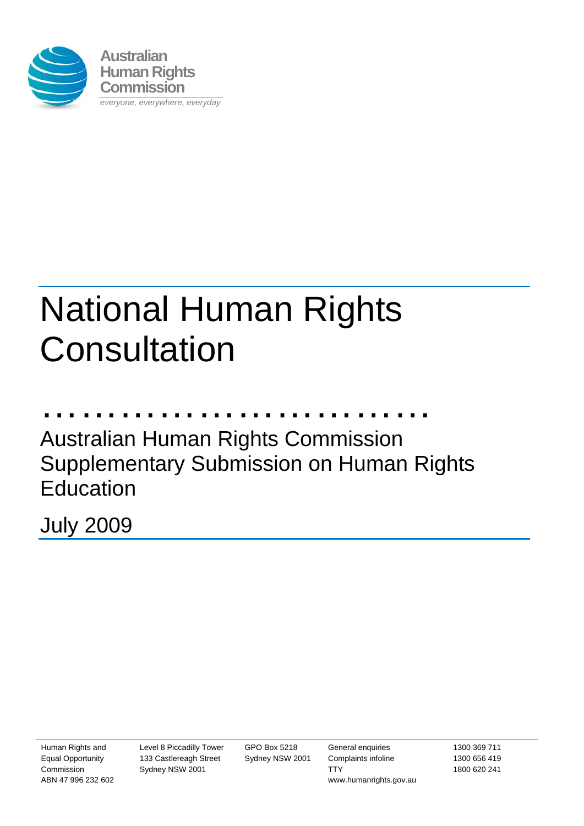

# National Human Rights **Consultation**

………………………… Australian Human Rights Commission Supplementary Submission on Human Rights Education

July 2009

Human Rights and Equal Opportunity Commission ABN 47 996 232 602 Level 8 Piccadilly Tower 133 Castlereagh Street Sydney NSW 2001

GPO Box 5218 Sydney NSW 2001

General enquiries Complaints infoline **TTY** www.humanrights.gov.au 1300 369 711 1300 656 419 1800 620 241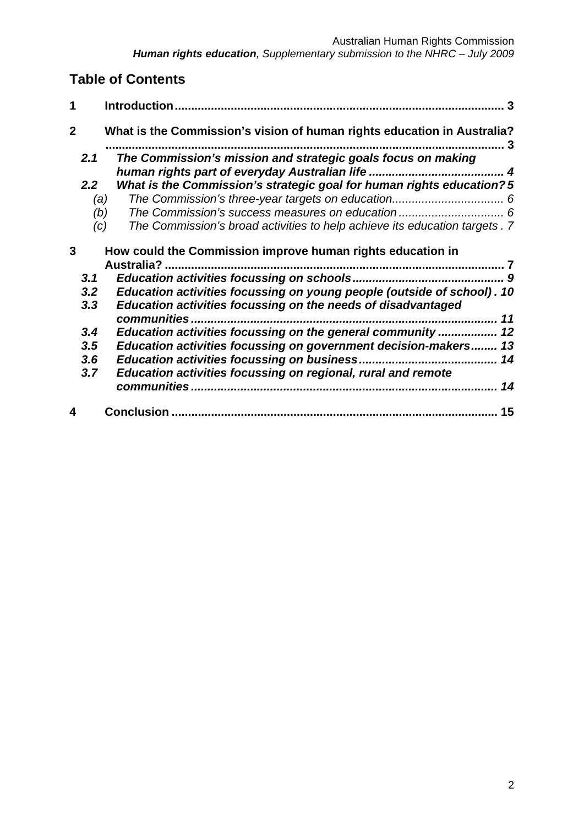## **Table of Contents**

| 1              |                                              | 3                                                                                                                                                                                                                   |  |
|----------------|----------------------------------------------|---------------------------------------------------------------------------------------------------------------------------------------------------------------------------------------------------------------------|--|
| $\overline{2}$ |                                              | What is the Commission's vision of human rights education in Australia?                                                                                                                                             |  |
|                | 2.1<br>2.2 <sub>2</sub><br>(a)<br>(b)<br>(c) | The Commission's mission and strategic goals focus on making<br>What is the Commission's strategic goal for human rights education?5<br>The Commission's broad activities to help achieve its education targets . 7 |  |
| 3              |                                              | How could the Commission improve human rights education in<br>Australia?                                                                                                                                            |  |
|                | 3.1<br>3.2<br>3.3                            | Education activities focussing on young people (outside of school). 10<br>Education activities focussing on the needs of disadvantaged<br>communities.<br>11                                                        |  |
|                | 3.4<br>3.5<br>3.6<br>3.7                     | Education activities focussing on the general community  12<br>Education activities focussing on government decision-makers 13<br>Education activities focussing on regional, rural and remote                      |  |
|                |                                              | 15                                                                                                                                                                                                                  |  |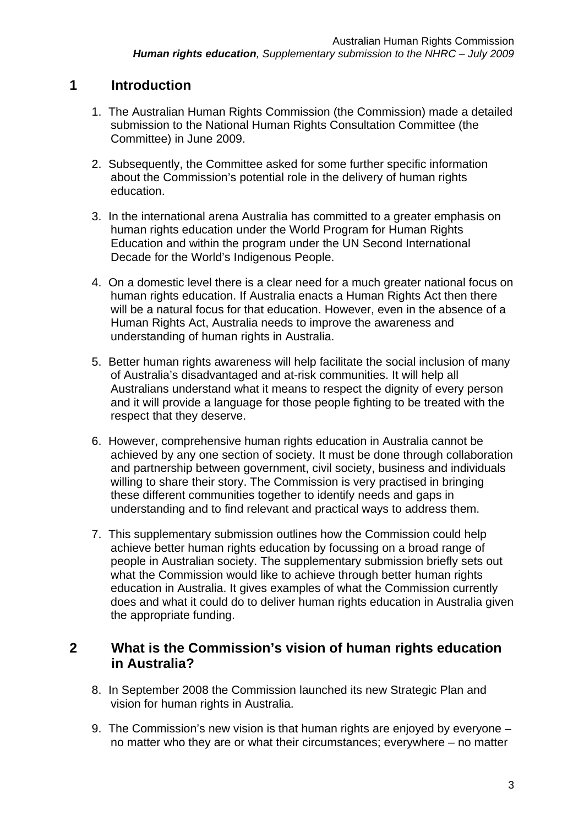## **1 Introduction**

- 1. The Australian Human Rights Commission (the Commission) made a detailed submission to the National Human Rights Consultation Committee (the Committee) in June 2009.
- 2. Subsequently, the Committee asked for some further specific information about the Commission's potential role in the delivery of human rights education.
- 3. In the international arena Australia has committed to a greater emphasis on human rights education under the World Program for Human Rights Education and within the program under the UN Second International Decade for the World's Indigenous People.
- 4. On a domestic level there is a clear need for a much greater national focus on human rights education. If Australia enacts a Human Rights Act then there will be a natural focus for that education. However, even in the absence of a Human Rights Act, Australia needs to improve the awareness and understanding of human rights in Australia.
- 5. Better human rights awareness will help facilitate the social inclusion of many of Australia's disadvantaged and at-risk communities. It will help all Australians understand what it means to respect the dignity of every person and it will provide a language for those people fighting to be treated with the respect that they deserve.
- 6. However, comprehensive human rights education in Australia cannot be achieved by any one section of society. It must be done through collaboration and partnership between government, civil society, business and individuals willing to share their story. The Commission is very practised in bringing these different communities together to identify needs and gaps in understanding and to find relevant and practical ways to address them.
- 7. This supplementary submission outlines how the Commission could help achieve better human rights education by focussing on a broad range of people in Australian society. The supplementary submission briefly sets out what the Commission would like to achieve through better human rights education in Australia. It gives examples of what the Commission currently does and what it could do to deliver human rights education in Australia given the appropriate funding.

## **2 What is the Commission's vision of human rights education in Australia?**

- 8. In September 2008 the Commission launched its new Strategic Plan and vision for human rights in Australia.
- 9. The Commission's new vision is that human rights are enjoyed by everyone no matter who they are or what their circumstances; everywhere – no matter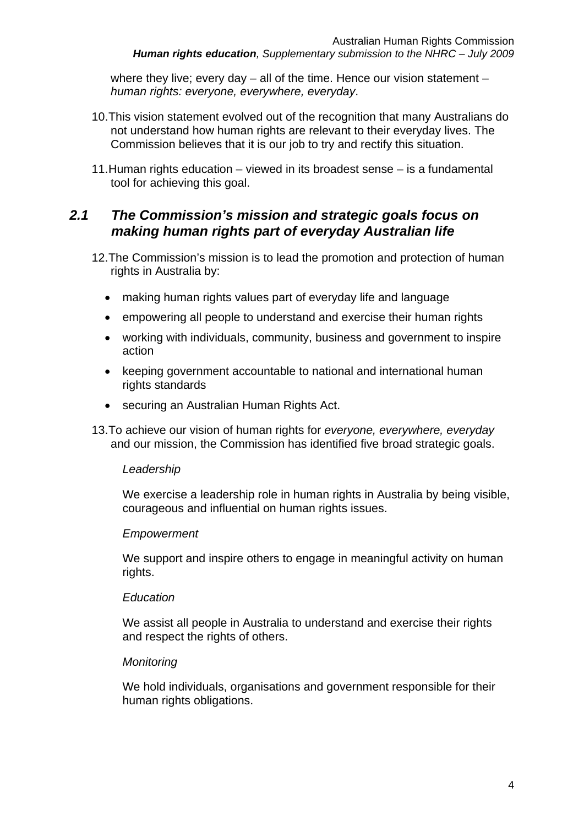where they live; every day – all of the time. Hence our vision statement – *human rights: everyone, everywhere, everyday*.

- 10. This vision statement evolved out of the recognition that many Australians do not understand how human rights are relevant to their everyday lives. The Commission believes that it is our job to try and rectify this situation.
- 11. Human rights education viewed in its broadest sense is a fundamental tool for achieving this goal.

## *2.1 The Commission's mission and strategic goals focus on making human rights part of everyday Australian life*

- 12. The Commission's mission is to lead the promotion and protection of human rights in Australia by:
	- making human rights values part of everyday life and language
	- empowering all people to understand and exercise their human rights
	- working with individuals, community, business and government to inspire action
	- keeping government accountable to national and international human rights standards
	- securing an Australian Human Rights Act.
- 13. To achieve our vision of human rights for *everyone, everywhere, everyday* and our mission, the Commission has identified five broad strategic goals.

#### *Leadership*

We exercise a leadership role in human rights in Australia by being visible, courageous and influential on human rights issues.

#### *Empowerment*

We support and inspire others to engage in meaningful activity on human rights.

#### *Education*

We assist all people in Australia to understand and exercise their rights and respect the rights of others.

#### *Monitoring*

We hold individuals, organisations and government responsible for their human rights obligations.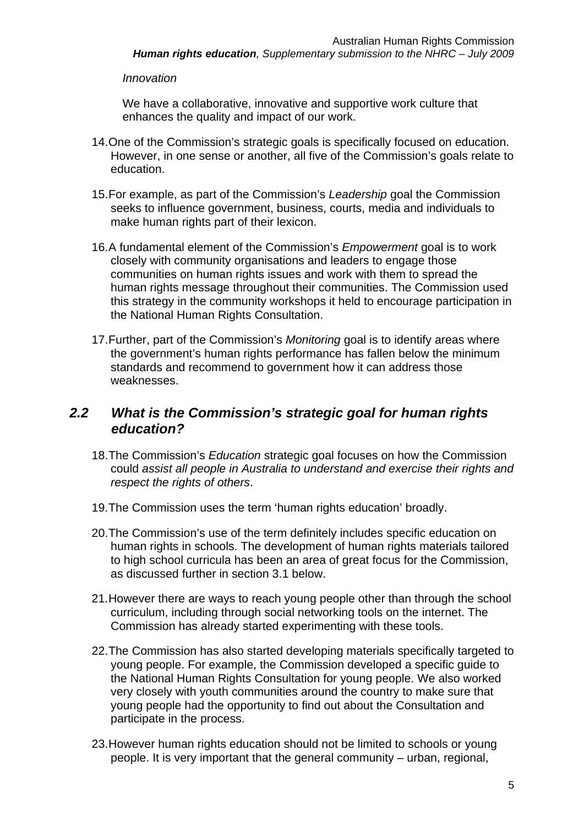#### *Innovation*

We have a collaborative, innovative and supportive work culture that enhances the quality and impact of our work.

- 14. One of the Commission's strategic goals is specifically focused on education. However, in one sense or another, all five of the Commission's goals relate to education.
- 15. For example, as part of the Commission's *Leadership* goal the Commission seeks to influence government, business, courts, media and individuals to make human rights part of their lexicon.
- 16. A fundamental element of the Commission's *Empowerment* goal is to work closely with community organisations and leaders to engage those communities on human rights issues and work with them to spread the human rights message throughout their communities. The Commission used this strategy in the community workshops it held to encourage participation in the National Human Rights Consultation.
- 17. Further, part of the Commission's *Monitoring* goal is to identify areas where the government's human rights performance has fallen below the minimum standards and recommend to government how it can address those weaknesses.

## *2.2 What is the Commission's strategic goal for human rights education?*

- 18. The Commission's *Education* strategic goal focuses on how the Commission could *assist all people in Australia to understand and exercise their rights and respect the rights of others*.
- 19. The Commission uses the term 'human rights education' broadly.
- 20. The Commission's use of the term definitely includes specific education on human rights in schools. The development of human rights materials tailored to high school curricula has been an area of great focus for the Commission, as discussed further in section 3.1 below.
- 21. However there are ways to reach young people other than through the school curriculum, including through social networking tools on the internet. The Commission has already started experimenting with these tools.
- 22. The Commission has also started developing materials specifically targeted to young people. For example, the Commission developed a specific guide to the National Human Rights Consultation for young people. We also worked very closely with youth communities around the country to make sure that young people had the opportunity to find out about the Consultation and participate in the process.
- 23. However human rights education should not be limited to schools or young people. It is very important that the general community – urban, regional,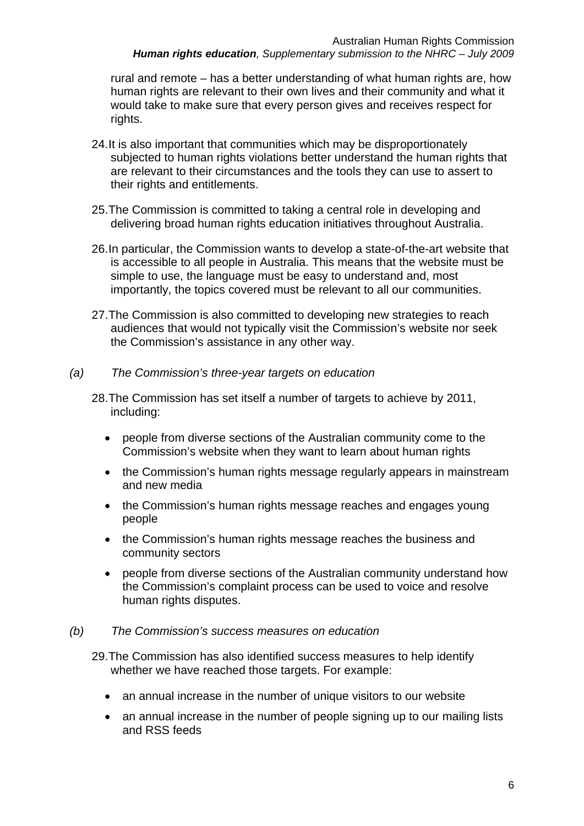rural and remote – has a better understanding of what human rights are, how human rights are relevant to their own lives and their community and what it would take to make sure that every person gives and receives respect for rights.

- 24. It is also important that communities which may be disproportionately subjected to human rights violations better understand the human rights that are relevant to their circumstances and the tools they can use to assert to their rights and entitlements.
- 25. The Commission is committed to taking a central role in developing and delivering broad human rights education initiatives throughout Australia.
- 26. In particular, the Commission wants to develop a state-of-the-art website that is accessible to all people in Australia. This means that the website must be simple to use, the language must be easy to understand and, most importantly, the topics covered must be relevant to all our communities.
- 27. The Commission is also committed to developing new strategies to reach audiences that would not typically visit the Commission's website nor seek the Commission's assistance in any other way.

#### *(a) The Commission's three-year targets on education*

- 28. The Commission has set itself a number of targets to achieve by 2011, including:
	- people from diverse sections of the Australian community come to the Commission's website when they want to learn about human rights
	- the Commission's human rights message regularly appears in mainstream and new media
	- the Commission's human rights message reaches and engages young people
	- the Commission's human rights message reaches the business and community sectors
	- people from diverse sections of the Australian community understand how the Commission's complaint process can be used to voice and resolve human rights disputes.

#### *(b) The Commission's success measures on education*

- 29. The Commission has also identified success measures to help identify whether we have reached those targets. For example:
	- an annual increase in the number of unique visitors to our website
	- an annual increase in the number of people signing up to our mailing lists and RSS feeds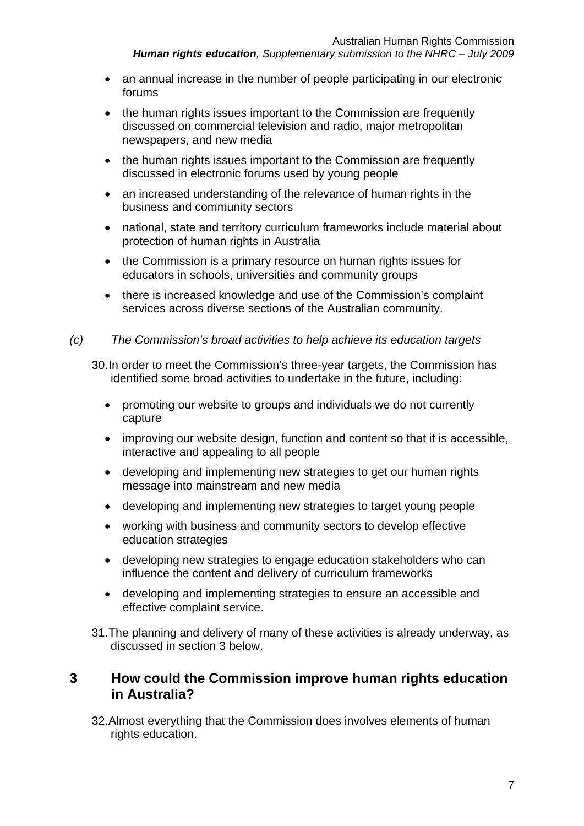- an annual increase in the number of people participating in our electronic forums
- the human rights issues important to the Commission are frequently discussed on commercial television and radio, major metropolitan newspapers, and new media
- the human rights issues important to the Commission are frequently discussed in electronic forums used by young people
- an increased understanding of the relevance of human rights in the business and community sectors
- national, state and territory curriculum frameworks include material about protection of human rights in Australia
- the Commission is a primary resource on human rights issues for educators in schools, universities and community groups
- there is increased knowledge and use of the Commission's complaint services across diverse sections of the Australian community.
- *(c) The Commission's broad activities to help achieve its education targets*

30. In order to meet the Commission's three-year targets, the Commission has identified some broad activities to undertake in the future, including:

- promoting our website to groups and individuals we do not currently capture
- improving our website design, function and content so that it is accessible, interactive and appealing to all people
- developing and implementing new strategies to get our human rights message into mainstream and new media
- developing and implementing new strategies to target young people
- working with business and community sectors to develop effective education strategies
- developing new strategies to engage education stakeholders who can influence the content and delivery of curriculum frameworks
- developing and implementing strategies to ensure an accessible and effective complaint service.
- 31. The planning and delivery of many of these activities is already underway, as discussed in section 3 below.

## **3 How could the Commission improve human rights education in Australia?**

32. Almost everything that the Commission does involves elements of human rights education.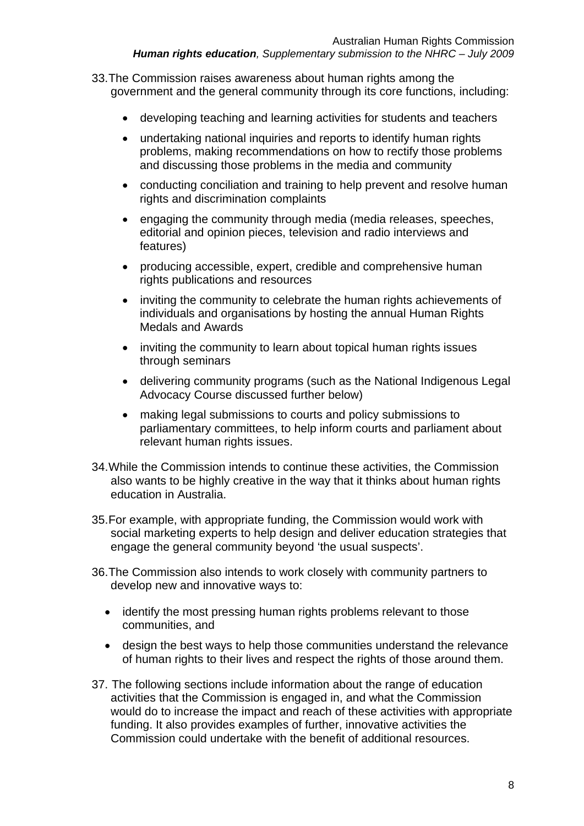- 33. The Commission raises awareness about human rights among the government and the general community through its core functions, including:
	- developing teaching and learning activities for students and teachers
	- undertaking national inquiries and reports to identify human rights problems, making recommendations on how to rectify those problems and discussing those problems in the media and community
	- conducting conciliation and training to help prevent and resolve human rights and discrimination complaints
	- engaging the community through media (media releases, speeches, editorial and opinion pieces, television and radio interviews and features)
	- producing accessible, expert, credible and comprehensive human rights publications and resources
	- inviting the community to celebrate the human rights achievements of individuals and organisations by hosting the annual Human Rights Medals and Awards
	- inviting the community to learn about topical human rights issues through seminars
	- delivering community programs (such as the National Indigenous Legal Advocacy Course discussed further below)
	- making legal submissions to courts and policy submissions to parliamentary committees, to help inform courts and parliament about relevant human rights issues.
- 34. While the Commission intends to continue these activities, the Commission also wants to be highly creative in the way that it thinks about human rights education in Australia.
- 35. For example, with appropriate funding, the Commission would work with social marketing experts to help design and deliver education strategies that engage the general community beyond 'the usual suspects'.
- 36. The Commission also intends to work closely with community partners to develop new and innovative ways to:
	- identify the most pressing human rights problems relevant to those communities, and
	- design the best ways to help those communities understand the relevance of human rights to their lives and respect the rights of those around them.
- 37. The following sections include information about the range of education activities that the Commission is engaged in, and what the Commission would do to increase the impact and reach of these activities with appropriate funding. It also provides examples of further, innovative activities the Commission could undertake with the benefit of additional resources.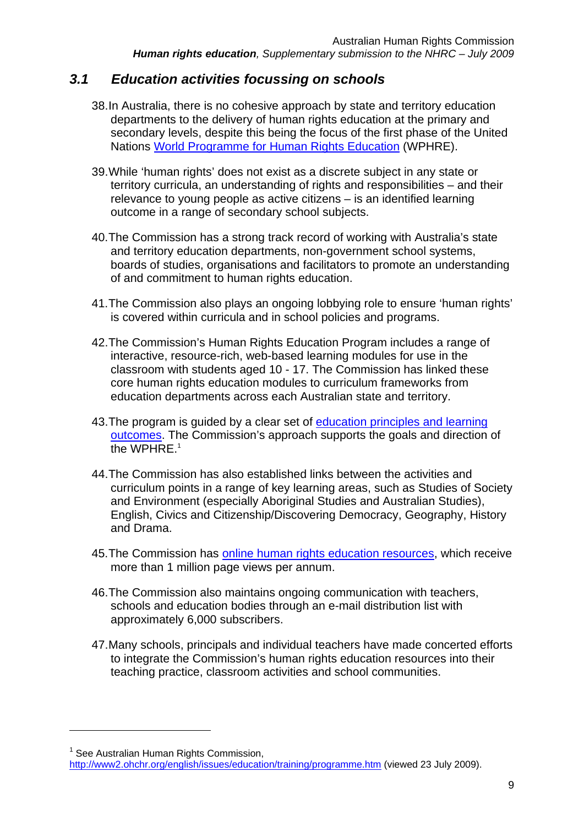## *3.1 Education activities focussing on schools*

- 38. In Australia, there is no cohesive approach by state and territory education departments to the delivery of human rights education at the primary and secondary levels, despite this being the focus of the first phase of the United Nations World Programme for Human Rights Education (WPHRE).
- 39. While 'human rights' does not exist as a discrete subject in any state or territory curricula, an understanding of rights and responsibilities – and their relevance to young people as active citizens – is an identified learning outcome in a range of secondary school subjects.
- 40. The Commission has a strong track record of working with Australia's state and territory education departments, non-government school systems, boards of studies, organisations and facilitators to promote an understanding of and commitment to human rights education.
- 41. The Commission also plays an ongoing lobbying role to ensure 'human rights' is covered within curricula and in school policies and programs.
- 42. The Commission's Human Rights Education Program includes a range of interactive, resource-rich, web-based learning modules for use in the classroom with students aged 10 - 17. The Commission has linked these core human rights education modules to curriculum frameworks from education departments across each Australian state and territory.
- 43. The program is guided by a clear set of education principles and learning outcomes. The Commission's approach supports the goals and direction of the WPHRF.<sup>1</sup>
- 44. The Commission has also established links between the activities and curriculum points in a range of key learning areas, such as Studies of Society and Environment (especially Aboriginal Studies and Australian Studies), English, Civics and Citizenship/Discovering Democracy, Geography, History and Drama.
- 45. The Commission has online human rights education resources, which receive more than 1 million page views per annum.
- 46. The Commission also maintains ongoing communication with teachers, schools and education bodies through an e-mail distribution list with approximately 6,000 subscribers.
- 47. Many schools, principals and individual teachers have made concerted efforts to integrate the Commission's human rights education resources into their teaching practice, classroom activities and school communities.

1

<sup>&</sup>lt;sup>1</sup> See Australian Human Rights Commission,

http://www2.ohchr.org/english/issues/education/training/programme.htm (viewed 23 July 2009).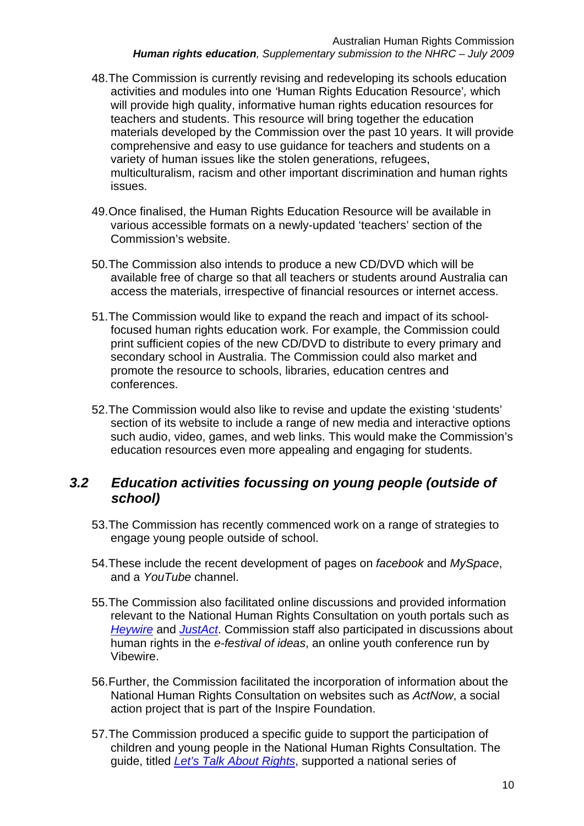- 48. The Commission is currently revising and redeveloping its schools education activities and modules into one *'*Human Rights Education Resource'*,* which will provide high quality, informative human rights education resources for teachers and students. This resource will bring together the education materials developed by the Commission over the past 10 years. It will provide comprehensive and easy to use guidance for teachers and students on a variety of human issues like the stolen generations, refugees, multiculturalism, racism and other important discrimination and human rights issues.
- 49. Once finalised, the Human Rights Education Resource will be available in various accessible formats on a newly-updated 'teachers' section of the Commission's website.
- 50. The Commission also intends to produce a new CD/DVD which will be available free of charge so that all teachers or students around Australia can access the materials, irrespective of financial resources or internet access.
- 51. The Commission would like to expand the reach and impact of its schoolfocused human rights education work. For example, the Commission could print sufficient copies of the new CD/DVD to distribute to every primary and secondary school in Australia. The Commission could also market and promote the resource to schools, libraries, education centres and conferences.
- 52. The Commission would also like to revise and update the existing 'students' section of its website to include a range of new media and interactive options such audio, video, games, and web links. This would make the Commission's education resources even more appealing and engaging for students.

## *3.2 Education activities focussing on young people (outside of school)*

- 53. The Commission has recently commenced work on a range of strategies to engage young people outside of school.
- 54. These include the recent development of pages on *facebook* and *MySpace*, and a *YouTube* channel.
- 55. The Commission also facilitated online discussions and provided information relevant to the National Human Rights Consultation on youth portals such as *Heywire* and *JustAct*. Commission staff also participated in discussions about human rights in the *e-festival of ideas*, an online youth conference run by Vibewire.
- 56. Further, the Commission facilitated the incorporation of information about the National Human Rights Consultation on websites such as *ActNow*, a social action project that is part of the Inspire Foundation.
- 57. The Commission produced a specific guide to support the participation of children and young people in the National Human Rights Consultation. The guide, titled *Let's Talk About Rights*, supported a national series of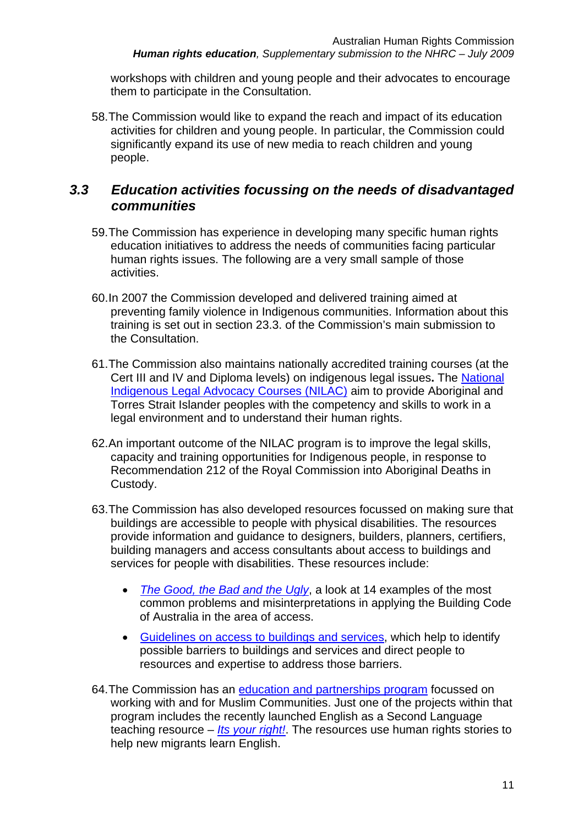workshops with children and young people and their advocates to encourage them to participate in the Consultation.

58. The Commission would like to expand the reach and impact of its education activities for children and young people. In particular, the Commission could significantly expand its use of new media to reach children and young people.

## *3.3 Education activities focussing on the needs of disadvantaged communities*

- 59. The Commission has experience in developing many specific human rights education initiatives to address the needs of communities facing particular human rights issues. The following are a very small sample of those activities.
- 60. In 2007 the Commission developed and delivered training aimed at preventing family violence in Indigenous communities. Information about this training is set out in section 23.3. of the Commission's main submission to the Consultation.
- 61. The Commission also maintains nationally accredited training courses (at the Cert III and IV and Diploma levels) on indigenous legal issues**.** The National Indigenous Legal Advocacy Courses (NILAC) aim to provide Aboriginal and Torres Strait Islander peoples with the competency and skills to work in a legal environment and to understand their human rights.
- 62. An important outcome of the NILAC program is to improve the legal skills, capacity and training opportunities for Indigenous people, in response to Recommendation 212 of the Royal Commission into Aboriginal Deaths in Custody.
- 63. The Commission has also developed resources focussed on making sure that buildings are accessible to people with physical disabilities. The resources provide information and guidance to designers, builders, planners, certifiers, building managers and access consultants about access to buildings and services for people with disabilities. These resources include:
	- *The Good, the Bad and the Ugly*, a look at 14 examples of the most common problems and misinterpretations in applying the Building Code of Australia in the area of access.
	- Guidelines on access to buildings and services, which help to identify possible barriers to buildings and services and direct people to resources and expertise to address those barriers.
- 64. The Commission has an education and partnerships program focussed on working with and for Muslim Communities. Just one of the projects within that program includes the recently launched English as a Second Language teaching resource – *Its your right!*. The resources use human rights stories to help new migrants learn English.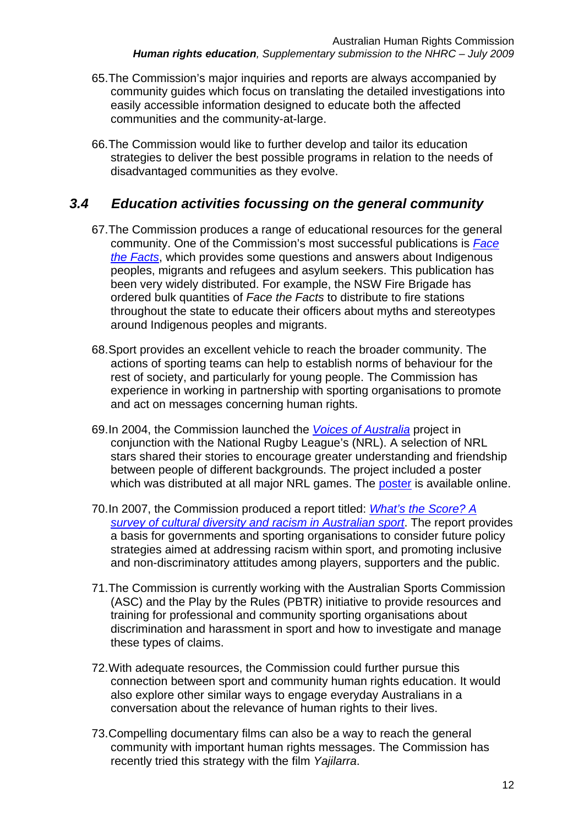- 65. The Commission's major inquiries and reports are always accompanied by community guides which focus on translating the detailed investigations into easily accessible information designed to educate both the affected communities and the community-at-large.
- 66. The Commission would like to further develop and tailor its education strategies to deliver the best possible programs in relation to the needs of disadvantaged communities as they evolve.

## *3.4 Education activities focussing on the general community*

- 67. The Commission produces a range of educational resources for the general community. One of the Commission's most successful publications is *Face the Facts*, which provides some questions and answers about Indigenous peoples, migrants and refugees and asylum seekers. This publication has been very widely distributed. For example, the NSW Fire Brigade has ordered bulk quantities of *Face the Facts* to distribute to fire stations throughout the state to educate their officers about myths and stereotypes around Indigenous peoples and migrants.
- 68. Sport provides an excellent vehicle to reach the broader community. The actions of sporting teams can help to establish norms of behaviour for the rest of society, and particularly for young people. The Commission has experience in working in partnership with sporting organisations to promote and act on messages concerning human rights.
- 69. In 2004, the Commission launched the *Voices of Australia* project in conjunction with the National Rugby League's (NRL). A selection of NRL stars shared their stories to encourage greater understanding and friendship between people of different backgrounds. The project included a poster which was distributed at all major NRL games. The poster is available online.
- 70. In 2007, the Commission produced a report titled: *What's the Score? A survey of cultural diversity and racism in Australian sport*. The report provides a basis for governments and sporting organisations to consider future policy strategies aimed at addressing racism within sport, and promoting inclusive and non-discriminatory attitudes among players, supporters and the public.
- 71. The Commission is currently working with the Australian Sports Commission (ASC) and the Play by the Rules (PBTR) initiative to provide resources and training for professional and community sporting organisations about discrimination and harassment in sport and how to investigate and manage these types of claims.
- 72. With adequate resources, the Commission could further pursue this connection between sport and community human rights education. It would also explore other similar ways to engage everyday Australians in a conversation about the relevance of human rights to their lives.
- 73. Compelling documentary films can also be a way to reach the general community with important human rights messages. The Commission has recently tried this strategy with the film *Yajilarra*.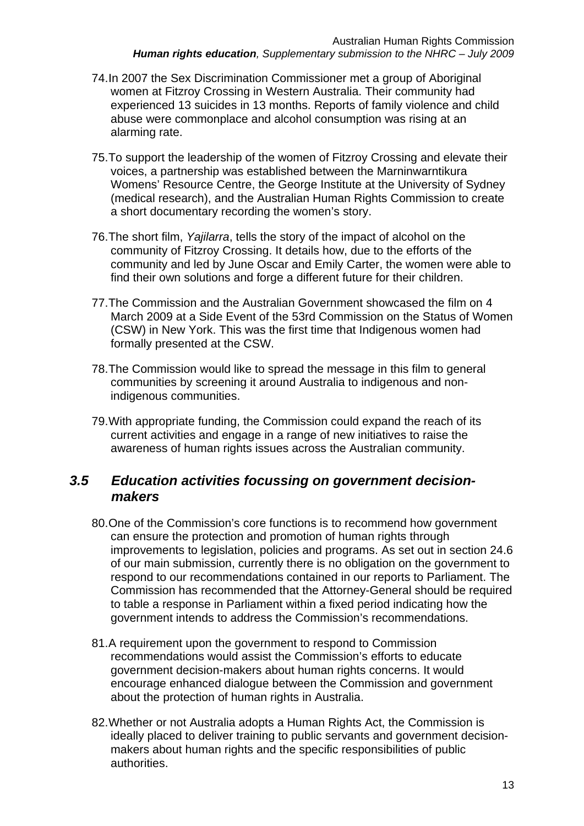- 74. In 2007 the Sex Discrimination Commissioner met a group of Aboriginal women at Fitzroy Crossing in Western Australia. Their community had experienced 13 suicides in 13 months. Reports of family violence and child abuse were commonplace and alcohol consumption was rising at an alarming rate.
- 75. To support the leadership of the women of Fitzroy Crossing and elevate their voices, a partnership was established between the Marninwarntikura Womens' Resource Centre, the George Institute at the University of Sydney (medical research), and the Australian Human Rights Commission to create a short documentary recording the women's story.
- 76. The short film, *Yajilarra*, tells the story of the impact of alcohol on the community of Fitzroy Crossing. It details how, due to the efforts of the community and led by June Oscar and Emily Carter, the women were able to find their own solutions and forge a different future for their children.
- 77. The Commission and the Australian Government showcased the film on 4 March 2009 at a Side Event of the 53rd Commission on the Status of Women (CSW) in New York. This was the first time that Indigenous women had formally presented at the CSW.
- 78. The Commission would like to spread the message in this film to general communities by screening it around Australia to indigenous and nonindigenous communities.
- 79. With appropriate funding, the Commission could expand the reach of its current activities and engage in a range of new initiatives to raise the awareness of human rights issues across the Australian community.

## *3.5 Education activities focussing on government decisionmakers*

- 80. One of the Commission's core functions is to recommend how government can ensure the protection and promotion of human rights through improvements to legislation, policies and programs. As set out in section 24.6 of our main submission, currently there is no obligation on the government to respond to our recommendations contained in our reports to Parliament. The Commission has recommended that the Attorney-General should be required to table a response in Parliament within a fixed period indicating how the government intends to address the Commission's recommendations.
- 81. A requirement upon the government to respond to Commission recommendations would assist the Commission's efforts to educate government decision-makers about human rights concerns. It would encourage enhanced dialogue between the Commission and government about the protection of human rights in Australia.
- 82. Whether or not Australia adopts a Human Rights Act, the Commission is ideally placed to deliver training to public servants and government decisionmakers about human rights and the specific responsibilities of public authorities.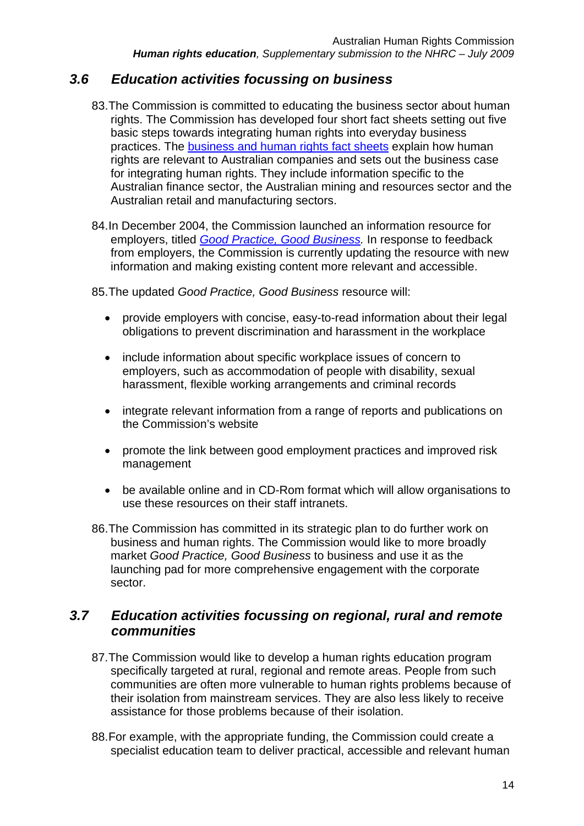## *3.6 Education activities focussing on business*

- 83. The Commission is committed to educating the business sector about human rights. The Commission has developed four short fact sheets setting out five basic steps towards integrating human rights into everyday business practices. The business and human rights fact sheets explain how human rights are relevant to Australian companies and sets out the business case for integrating human rights. They include information specific to the Australian finance sector, the Australian mining and resources sector and the Australian retail and manufacturing sectors.
- 84. In December 2004, the Commission launched an information resource for employers, titled *Good Practice, Good Business.* In response to feedback from employers, the Commission is currently updating the resource with new information and making existing content more relevant and accessible.

85. The updated *Good Practice, Good Business* resource will:

- provide employers with concise, easy-to-read information about their legal obligations to prevent discrimination and harassment in the workplace
- include information about specific workplace issues of concern to employers, such as accommodation of people with disability, sexual harassment, flexible working arrangements and criminal records
- integrate relevant information from a range of reports and publications on the Commission's website
- promote the link between good employment practices and improved risk management
- be available online and in CD-Rom format which will allow organisations to use these resources on their staff intranets.
- 86. The Commission has committed in its strategic plan to do further work on business and human rights. The Commission would like to more broadly market *Good Practice, Good Business* to business and use it as the launching pad for more comprehensive engagement with the corporate sector.

## *3.7 Education activities focussing on regional, rural and remote communities*

- 87. The Commission would like to develop a human rights education program specifically targeted at rural, regional and remote areas. People from such communities are often more vulnerable to human rights problems because of their isolation from mainstream services. They are also less likely to receive assistance for those problems because of their isolation.
- 88. For example, with the appropriate funding, the Commission could create a specialist education team to deliver practical, accessible and relevant human